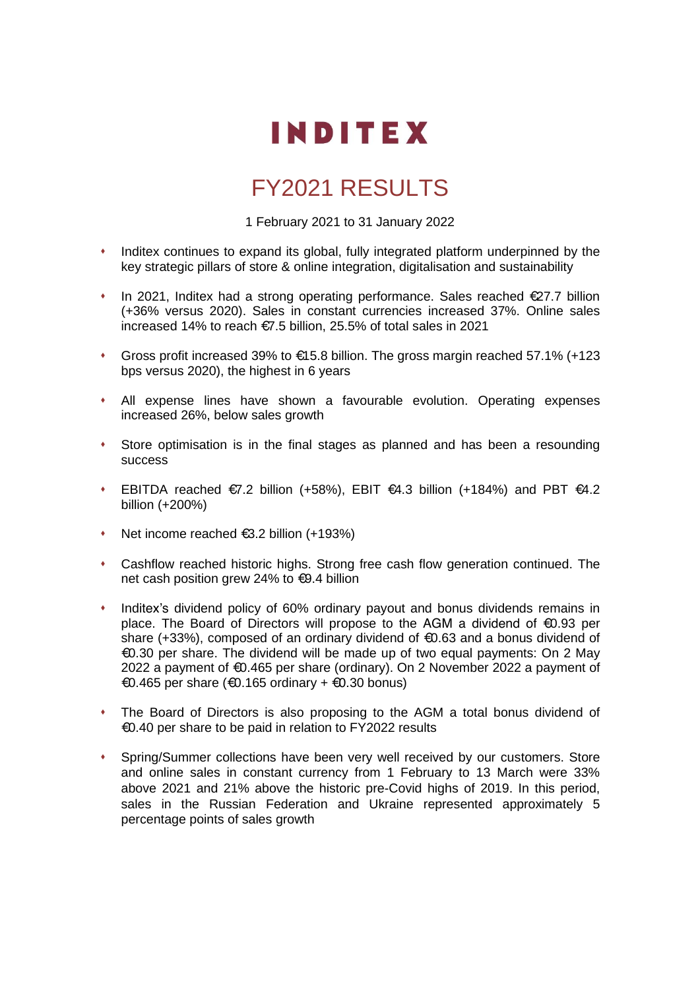

# FY2021 RESULTS

1 February 2021 to 31 January 2022

- ⬧ Inditex continues to expand its global, fully integrated platform underpinned by the key strategic pillars of store & online integration, digitalisation and sustainability
- ⬧ In 2021, Inditex had a strong operating performance. Sales reached €27.7 billion (+36% versus 2020). Sales in constant currencies increased 37%. Online sales increased 14% to reach €7.5 billion, 25.5% of total sales in 2021
- ⬧ Gross profit increased 39% to €15.8 billion. The gross margin reached 57.1% (+123 bps versus 2020), the highest in 6 years
- ⬧ All expense lines have shown a favourable evolution. Operating expenses increased 26%, below sales growth
- ⬧ Store optimisation is in the final stages as planned and has been a resounding success
- EBITDA reached  $€7.2$  billion (+58%), EBIT  $€4.3$  billion (+184%) and PBT  $€4.2$ billion (+200%)
- ⬧ Net income reached €3.2 billion (+193%)
- ⬧ Cashflow reached historic highs. Strong free cash flow generation continued. The net cash position grew 24% to €9.4 billion
- ⬧ Inditex's dividend policy of 60% ordinary payout and bonus dividends remains in place. The Board of Directors will propose to the AGM a dividend of €0.93 per share (+33%), composed of an ordinary dividend of €0.63 and a bonus dividend of €0.30 per share. The dividend will be made up of two equal payments: On 2 May 2022 a payment of €0.465 per share (ordinary). On 2 November 2022 a payment of €0.465 per share (€0.165 ordinary + €0.30 bonus)
- The Board of Directors is also proposing to the AGM a total bonus dividend of €0.40 per share to be paid in relation to FY2022 results
- ⬧ Spring/Summer collections have been very well received by our customers. Store and online sales in constant currency from 1 February to 13 March were 33% above 2021 and 21% above the historic pre-Covid highs of 2019. In this period, sales in the Russian Federation and Ukraine represented approximately 5 percentage points of sales growth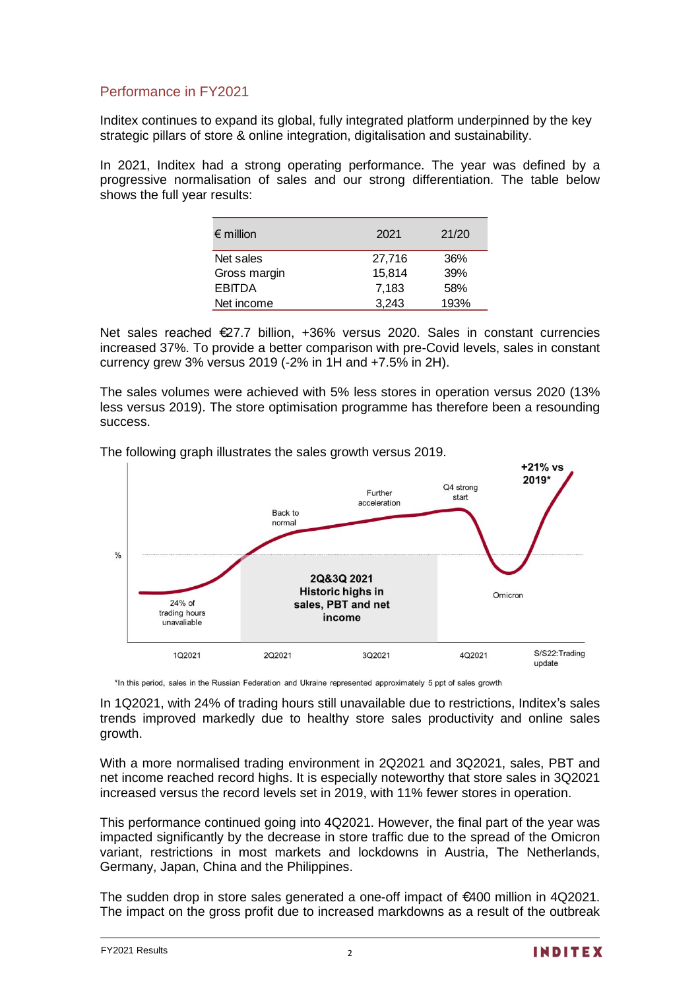## Performance in FY2021

Inditex continues to expand its global, fully integrated platform underpinned by the key strategic pillars of store & online integration, digitalisation and sustainability.

In 2021, Inditex had a strong operating performance. The year was defined by a progressive normalisation of sales and our strong differentiation. The table below shows the full year results:

| $\epsilon$ million | 2021   | 21/20 |
|--------------------|--------|-------|
| Net sales          | 27,716 | 36%   |
| Gross margin       | 15,814 | 39%   |
| <b>EBITDA</b>      | 7,183  | 58%   |
| Net income         | 3.243  | 193%  |

Net sales reached €27.7 billion, +36% versus 2020. Sales in constant currencies increased 37%. To provide a better comparison with pre-Covid levels, sales in constant currency grew 3% versus 2019 (-2% in 1H and +7.5% in 2H).

The sales volumes were achieved with 5% less stores in operation versus 2020 (13% less versus 2019). The store optimisation programme has therefore been a resounding success.

The following graph illustrates the sales growth versus 2019.



\*In this period, sales in the Russian Federation and Ukraine represented approximately 5 ppt of sales growth

In 1Q2021, with 24% of trading hours still unavailable due to restrictions, Inditex's sales trends improved markedly due to healthy store sales productivity and online sales growth.

With a more normalised trading environment in 2Q2021 and 3Q2021, sales, PBT and net income reached record highs. It is especially noteworthy that store sales in 3Q2021 increased versus the record levels set in 2019, with 11% fewer stores in operation.

This performance continued going into 4Q2021. However, the final part of the year was impacted significantly by the decrease in store traffic due to the spread of the Omicron variant, restrictions in most markets and lockdowns in Austria, The Netherlands, Germany, Japan, China and the Philippines.

The sudden drop in store sales generated a one-off impact of €400 million in 4Q2021. The impact on the gross profit due to increased markdowns as a result of the outbreak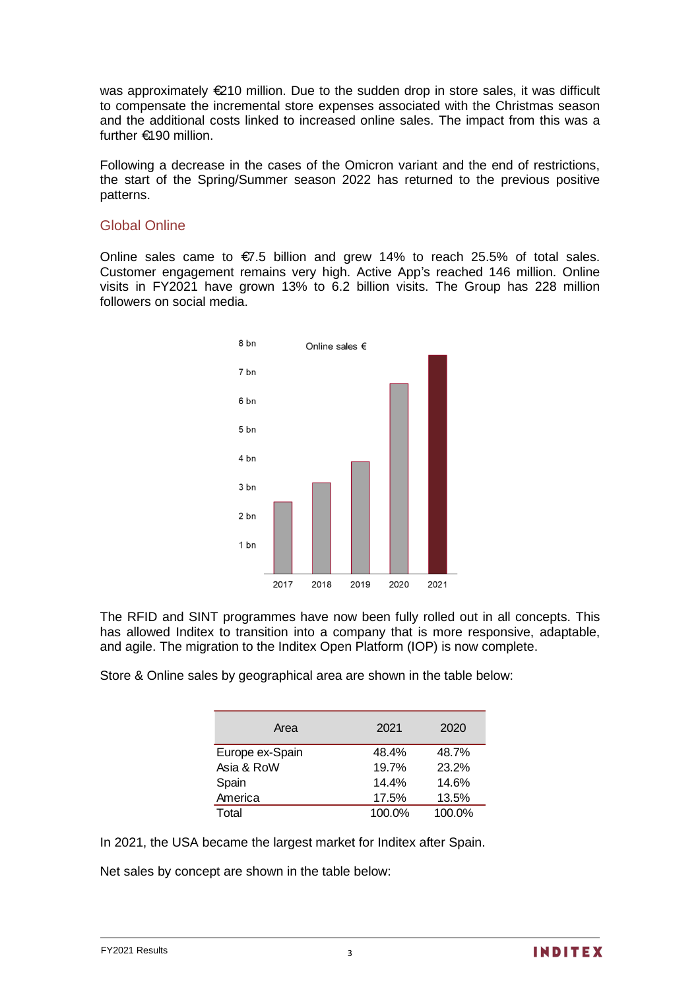was approximately €210 million. Due to the sudden drop in store sales, it was difficult to compensate the incremental store expenses associated with the Christmas season and the additional costs linked to increased online sales. The impact from this was a further €190 million.

Following a decrease in the cases of the Omicron variant and the end of restrictions, the start of the Spring/Summer season 2022 has returned to the previous positive patterns.

### Global Online

Online sales came to  $\epsilon$ 7.5 billion and grew 14% to reach 25.5% of total sales. Customer engagement remains very high. Active App's reached 146 million. Online visits in FY2021 have grown 13% to 6.2 billion visits. The Group has 228 million followers on social media.



The RFID and SINT programmes have now been fully rolled out in all concepts. This has allowed Inditex to transition into a company that is more responsive, adaptable, and agile. The migration to the Inditex Open Platform (IOP) is now complete.

Store & Online sales by geographical area are shown in the table below:

| Area            | 2021   | 2020   |
|-----------------|--------|--------|
| Europe ex-Spain | 48.4%  | 48.7%  |
| Asia & RoW      | 19.7%  | 23.2%  |
| Spain           | 14.4%  | 14.6%  |
| America         | 17.5%  | 13.5%  |
| Total           | 100.0% | 100.0% |

In 2021, the USA became the largest market for Inditex after Spain.

Net sales by concept are shown in the table below: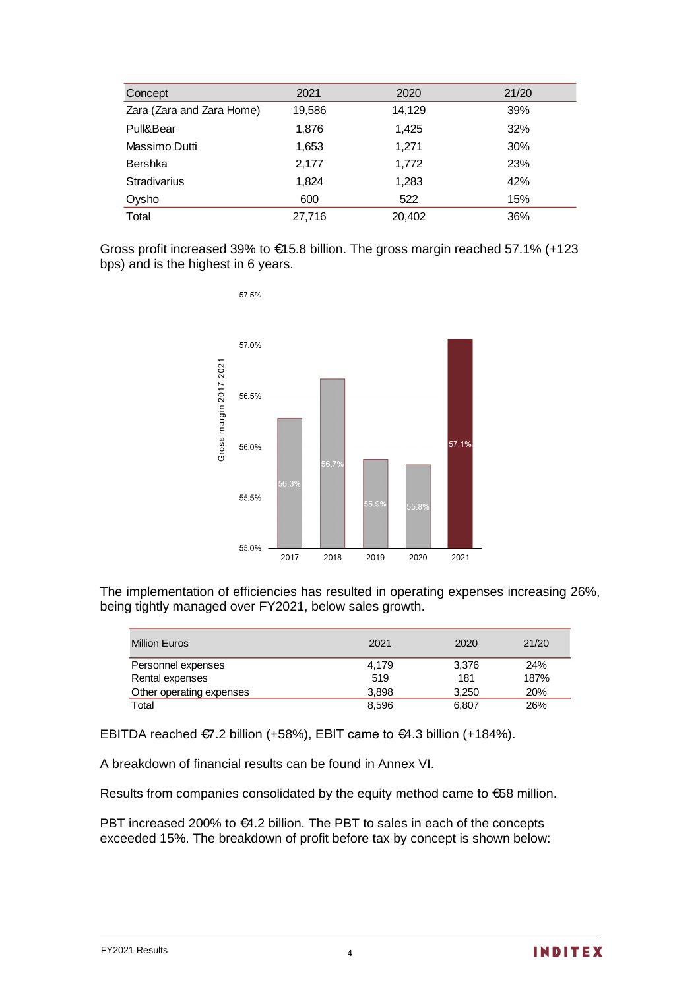| Concept                   | 2021   | 2020   | 21/20 |
|---------------------------|--------|--------|-------|
| Zara (Zara and Zara Home) | 19,586 | 14,129 | 39%   |
| Pull&Bear                 | 1,876  | 1,425  | 32%   |
| Massimo Dutti             | 1,653  | 1,271  | 30%   |
| <b>Bershka</b>            | 2,177  | 1,772  | 23%   |
| <b>Stradivarius</b>       | 1,824  | 1,283  | 42%   |
| Oysho                     | 600    | 522    | 15%   |
| Total                     | 27,716 | 20,402 | 36%   |

Gross profit increased 39% to €15.8 billion. The gross margin reached 57.1% (+123 bps) and is the highest in 6 years.



The implementation of efficiencies has resulted in operating expenses increasing 26%, being tightly managed over FY2021, below sales growth.

| <b>Million Euros</b>     | 2021  | 2020  | 21/20 |
|--------------------------|-------|-------|-------|
| Personnel expenses       | 4.179 | 3.376 | 24%   |
| Rental expenses          | 519   | 181   | 187%  |
| Other operating expenses | 3.898 | 3.250 | 20%   |
| Total                    | 8,596 | 6.807 | 26%   |

EBITDA reached €7.2 billion (+58%), EBIT came to €4.3 billion (+184%).

A breakdown of financial results can be found in Annex VI.

Results from companies consolidated by the equity method came to €58 million.

PBT increased 200% to €4.2 billion. The PBT to sales in each of the concepts exceeded 15%. The breakdown of profit before tax by concept is shown below: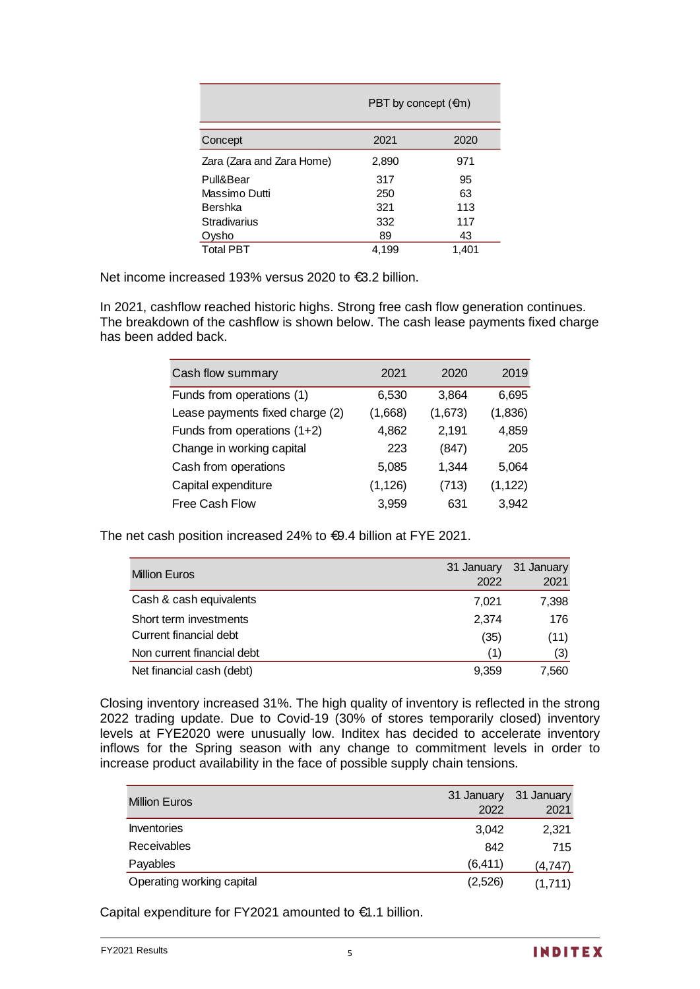|                           | PBT by concept $(\oplus n)$ |       |  |
|---------------------------|-----------------------------|-------|--|
| Concept                   | 2021                        | 2020  |  |
| Zara (Zara and Zara Home) | 2,890                       | 971   |  |
| Pull&Bear                 | 317                         | 95    |  |
| Massimo Dutti             | 250                         | 63    |  |
| Bershka                   | 321                         | 113   |  |
| Stradivarius              | 332                         | 117   |  |
| Ovsho                     | 89                          | 43    |  |
| <b>Total PBT</b>          | 4.199                       | 1,401 |  |

Net income increased 193% versus 2020 to €3.2 billion.

In 2021, cashflow reached historic highs. Strong free cash flow generation continues. The breakdown of the cashflow is shown below. The cash lease payments fixed charge has been added back.

| Cash flow summary               | 2021     | 2020    | 2019     |
|---------------------------------|----------|---------|----------|
| Funds from operations (1)       | 6,530    | 3,864   | 6,695    |
| Lease payments fixed charge (2) | (1,668)  | (1,673) | (1,836)  |
| Funds from operations $(1+2)$   | 4,862    | 2,191   | 4,859    |
| Change in working capital       | 223      | (847)   | 205      |
| Cash from operations            | 5,085    | 1,344   | 5,064    |
| Capital expenditure             | (1, 126) | (713)   | (1, 122) |
| Free Cash Flow                  | 3,959    | 631     | 3,942    |

The net cash position increased 24% to €9.4 billion at FYE 2021.

| <b>Million Euros</b>       | 31 January<br>2022 | 31 January<br>2021 |
|----------------------------|--------------------|--------------------|
| Cash & cash equivalents    | 7.021              | 7,398              |
| Short term investments     | 2.374              | 176                |
| Current financial debt     | (35)               | (11)               |
| Non current financial debt | (1)                | (3)                |
| Net financial cash (debt)  | 9,359              | 7,560              |

Closing inventory increased 31%. The high quality of inventory is reflected in the strong 2022 trading update. Due to Covid-19 (30% of stores temporarily closed) inventory levels at FYE2020 were unusually low. Inditex has decided to accelerate inventory inflows for the Spring season with any change to commitment levels in order to increase product availability in the face of possible supply chain tensions.

| <b>Million Euros</b>      | 31 January | 31 January |
|---------------------------|------------|------------|
|                           | 2022       | 2021       |
| Inventories               | 3.042      | 2,321      |
| <b>Receivables</b>        | 842        | 715        |
| Payables                  | (6, 411)   | (4,747)    |
| Operating working capital | (2,526)    | (1,711)    |

Capital expenditure for FY2021 amounted to €1.1 billion.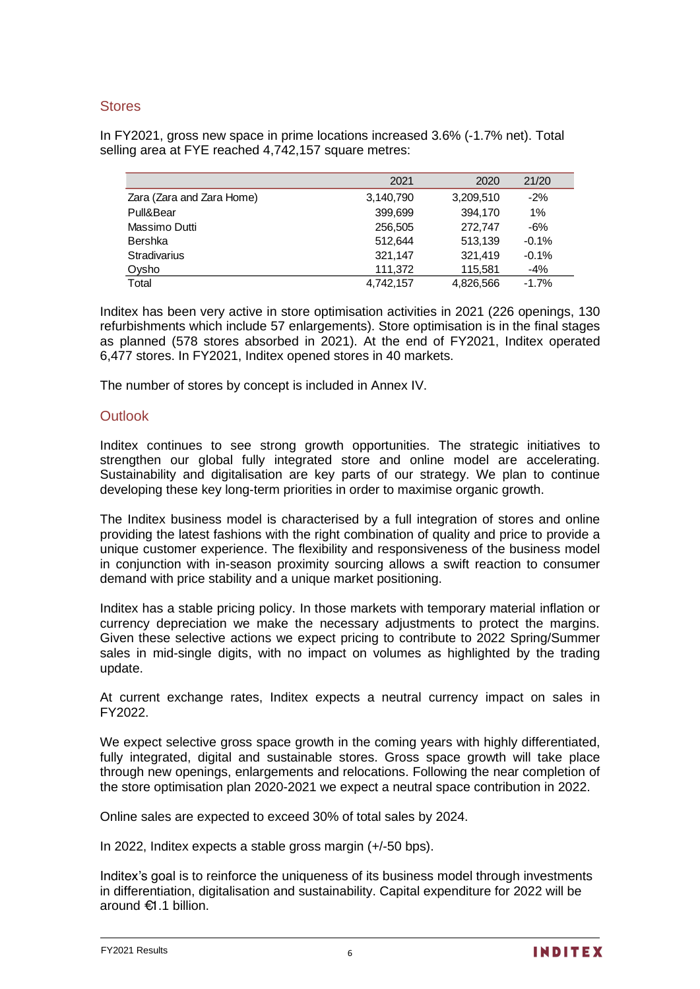### **Stores**

In FY2021, gross new space in prime locations increased 3.6% (-1.7% net). Total selling area at FYE reached 4,742,157 square metres:

|                           | 2021      | 2020      | 21/20   |
|---------------------------|-----------|-----------|---------|
| Zara (Zara and Zara Home) | 3,140,790 | 3,209,510 | $-2\%$  |
| Pull&Bear                 | 399.699   | 394.170   | 1%      |
| Massimo Dutti             | 256,505   | 272.747   | -6%     |
| Bershka                   | 512.644   | 513,139   | $-0.1%$ |
| <b>Stradivarius</b>       | 321.147   | 321.419   | $-0.1%$ |
| Oysho                     | 111.372   | 115.581   | -4%     |
| Total                     | 4.742.157 | 4.826.566 | $-1.7%$ |

Inditex has been very active in store optimisation activities in 2021 (226 openings, 130 refurbishments which include 57 enlargements). Store optimisation is in the final stages as planned (578 stores absorbed in 2021). At the end of FY2021, Inditex operated 6,477 stores. In FY2021, Inditex opened stores in 40 markets.

The number of stores by concept is included in Annex IV.

### **Outlook**

Inditex continues to see strong growth opportunities. The strategic initiatives to strengthen our global fully integrated store and online model are accelerating. Sustainability and digitalisation are key parts of our strategy. We plan to continue developing these key long-term priorities in order to maximise organic growth.

The Inditex business model is characterised by a full integration of stores and online providing the latest fashions with the right combination of quality and price to provide a unique customer experience. The flexibility and responsiveness of the business model in conjunction with in-season proximity sourcing allows a swift reaction to consumer demand with price stability and a unique market positioning.

Inditex has a stable pricing policy. In those markets with temporary material inflation or currency depreciation we make the necessary adjustments to protect the margins. Given these selective actions we expect pricing to contribute to 2022 Spring/Summer sales in mid-single digits, with no impact on volumes as highlighted by the trading update.

At current exchange rates, Inditex expects a neutral currency impact on sales in FY2022.

We expect selective gross space growth in the coming years with highly differentiated, fully integrated, digital and sustainable stores. Gross space growth will take place through new openings, enlargements and relocations. Following the near completion of the store optimisation plan 2020-2021 we expect a neutral space contribution in 2022.

Online sales are expected to exceed 30% of total sales by 2024.

In 2022, Inditex expects a stable gross margin (+/-50 bps).

Inditex's goal is to reinforce the uniqueness of its business model through investments in differentiation, digitalisation and sustainability. Capital expenditure for 2022 will be around €1.1 billion.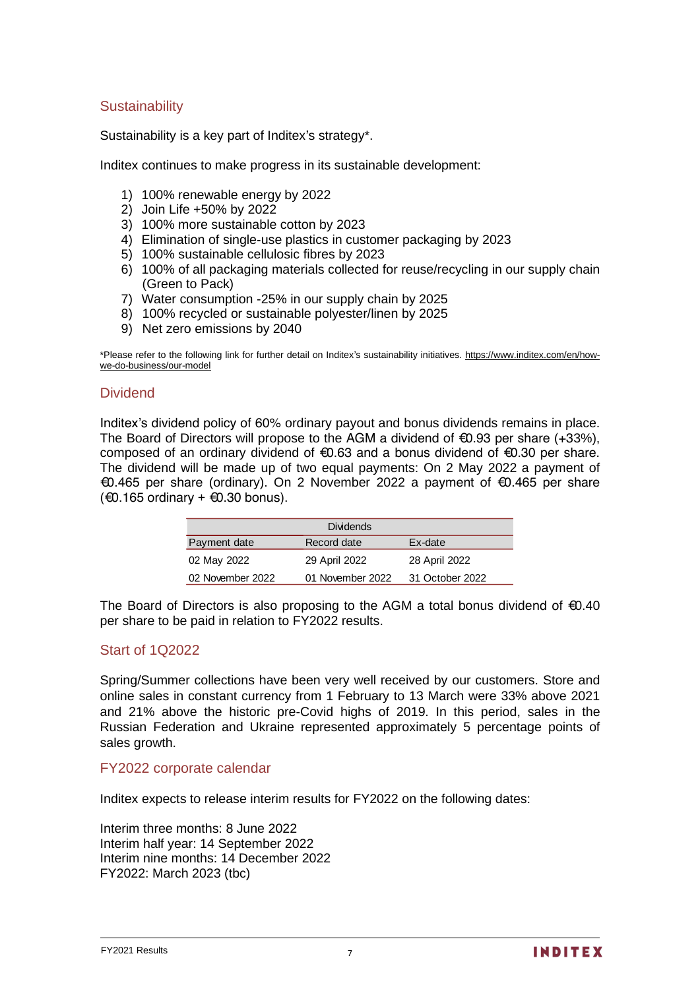## **Sustainability**

Sustainability is a key part of Inditex's strategy\*.

Inditex continues to make progress in its sustainable development:

- 1) 100% renewable energy by 2022
- 2) Join Life +50% by 2022
- 3) 100% more sustainable cotton by 2023
- 4) Elimination of single-use plastics in customer packaging by 2023
- 5) 100% sustainable cellulosic fibres by 2023
- 6) 100% of all packaging materials collected for reuse/recycling in our supply chain (Green to Pack)
- 7) Water consumption -25% in our supply chain by 2025
- 8) 100% recycled or sustainable polyester/linen by 2025
- 9) Net zero emissions by 2040

\*Please refer to the following link for further detail on Inditex's sustainability initiatives[. https://www.inditex.com/en/how](https://www.inditex.com/en/how-we-do-business/our-model)[we-do-business/our-model](https://www.inditex.com/en/how-we-do-business/our-model)

### **Dividend**

Inditex's dividend policy of 60% ordinary payout and bonus dividends remains in place. The Board of Directors will propose to the AGM a dividend of  $\epsilon$ 0.93 per share (+33%), composed of an ordinary dividend of €0.63 and a bonus dividend of €0.30 per share. The dividend will be made up of two equal payments: On 2 May 2022 a payment of €0.465 per share (ordinary). On 2 November 2022 a payment of €0.465 per share  $(€0.165$  ordinary +  $€0.30$  bonus).

|                  | <b>Dividends</b> |                 |
|------------------|------------------|-----------------|
| Payment date     | Record date      | Ex-date         |
| 02 May 2022      | 29 April 2022    | 28 April 2022   |
| 02 November 2022 | 01 November 2022 | 31 October 2022 |

The Board of Directors is also proposing to the AGM a total bonus dividend of  $\epsilon$ 0.40 per share to be paid in relation to FY2022 results.

### Start of 1Q2022

Spring/Summer collections have been very well received by our customers. Store and online sales in constant currency from 1 February to 13 March were 33% above 2021 and 21% above the historic pre-Covid highs of 2019. In this period, sales in the Russian Federation and Ukraine represented approximately 5 percentage points of sales growth.

#### FY2022 corporate calendar

Inditex expects to release interim results for FY2022 on the following dates:

Interim three months: 8 June 2022 Interim half year: 14 September 2022 Interim nine months: 14 December 2022 FY2022: March 2023 (tbc)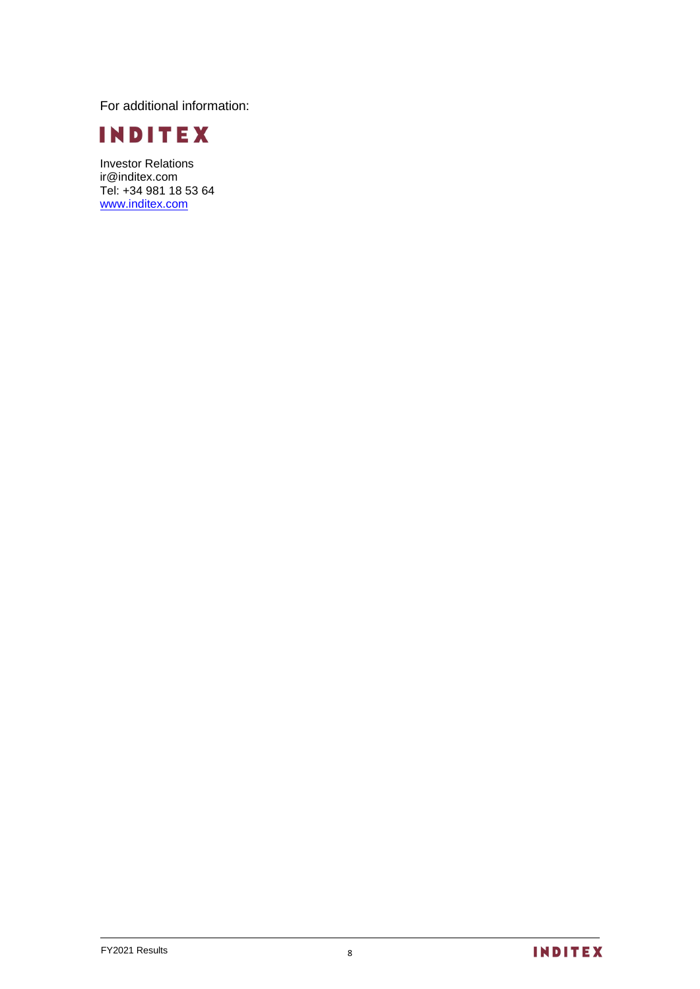For additional information:



Investor Relations ir@inditex.com Tel: +34 981 18 53 64 www.inditex.com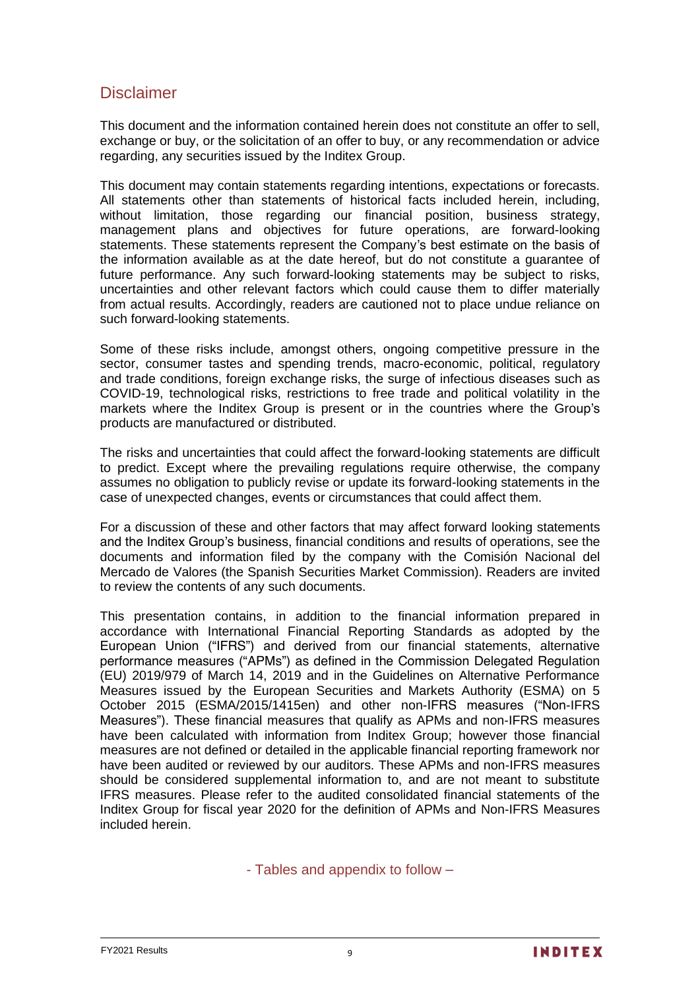# **Disclaimer**

This document and the information contained herein does not constitute an offer to sell, exchange or buy, or the solicitation of an offer to buy, or any recommendation or advice regarding, any securities issued by the Inditex Group.

This document may contain statements regarding intentions, expectations or forecasts. All statements other than statements of historical facts included herein, including, without limitation, those regarding our financial position, business strategy, management plans and objectives for future operations, are forward-looking statements. These statements represent the Company's best estimate on the basis of the information available as at the date hereof, but do not constitute a guarantee of future performance. Any such forward-looking statements may be subject to risks, uncertainties and other relevant factors which could cause them to differ materially from actual results. Accordingly, readers are cautioned not to place undue reliance on such forward-looking statements.

Some of these risks include, amongst others, ongoing competitive pressure in the sector, consumer tastes and spending trends, macro-economic, political, regulatory and trade conditions, foreign exchange risks, the surge of infectious diseases such as COVID-19, technological risks, restrictions to free trade and political volatility in the markets where the Inditex Group is present or in the countries where the Group's products are manufactured or distributed.

The risks and uncertainties that could affect the forward-looking statements are difficult to predict. Except where the prevailing regulations require otherwise, the company assumes no obligation to publicly revise or update its forward-looking statements in the case of unexpected changes, events or circumstances that could affect them.

For a discussion of these and other factors that may affect forward looking statements and the Inditex Group's business, financial conditions and results of operations, see the documents and information filed by the company with the *Comisión Nacional del Mercado de Valores* (the Spanish Securities Market Commission). Readers are invited to review the contents of any such documents.

This presentation contains, in addition to the financial information prepared in accordance with International Financial Reporting Standards as adopted by the European Union ("IFRS") and derived from our financial statements, alternative performance measures ("APMs") as defined in the Commission Delegated Regulation (EU) 2019/979 of March 14, 2019 and in the Guidelines on Alternative Performance Measures issued by the European Securities and Markets Authority (ESMA) on 5 October 2015 (ESMA/2015/1415en) and other non-IFRS measures ("Non-IFRS Measures"). These financial measures that qualify as APMs and non-IFRS measures have been calculated with information from Inditex Group; however those financial measures are not defined or detailed in the applicable financial reporting framework nor have been audited or reviewed by our auditors. These APMs and non-IFRS measures should be considered supplemental information to, and are not meant to substitute IFRS measures. Please refer to the audited consolidated financial statements of the Inditex Group for fiscal year 2020 for the definition of APMs and Non-IFRS Measures included herein.

- Tables and appendix to follow –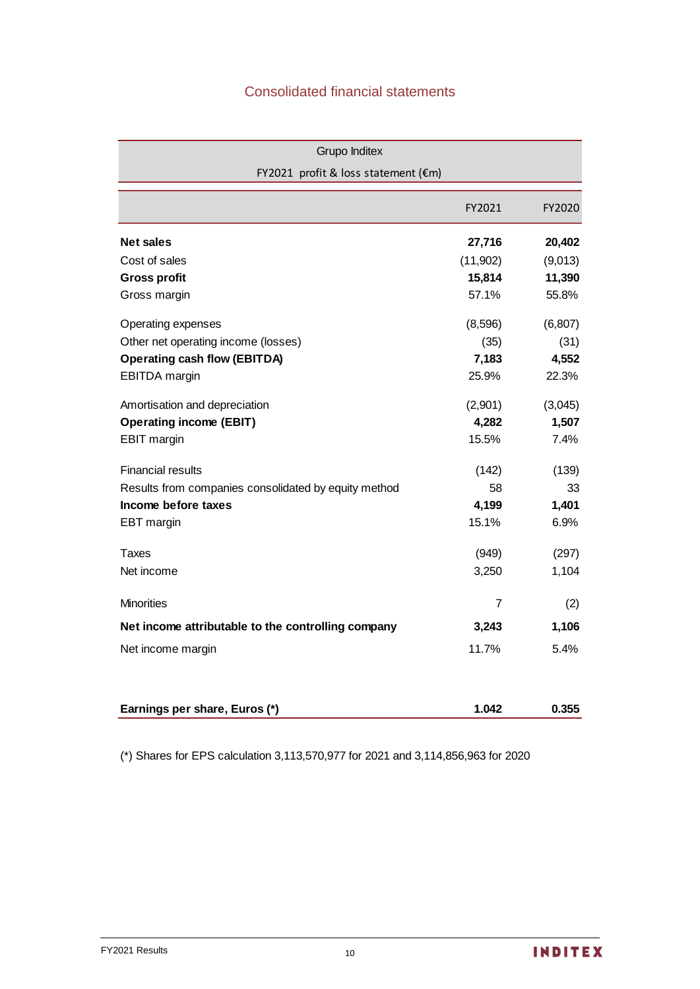# Consolidated financial statements

| <b>Grupo Inditex</b>                                 |           |          |
|------------------------------------------------------|-----------|----------|
| FY2021 profit & loss statement (€m)                  |           |          |
|                                                      | FY2021    | FY2020   |
| <b>Net sales</b>                                     | 27,716    | 20,402   |
| Cost of sales                                        | (11, 902) | (9,013)  |
| <b>Gross profit</b>                                  | 15,814    | 11,390   |
| Gross margin                                         | 57.1%     | 55.8%    |
| Operating expenses                                   | (8,596)   | (6, 807) |
| Other net operating income (losses)                  | (35)      | (31)     |
| <b>Operating cash flow (EBITDA)</b>                  | 7,183     | 4,552    |
| <b>EBITDA</b> margin                                 | 25.9%     | 22.3%    |
| Amortisation and depreciation                        | (2,901)   | (3,045)  |
| <b>Operating income (EBIT)</b>                       | 4,282     | 1,507    |
| <b>EBIT</b> margin                                   | 15.5%     | 7.4%     |
| <b>Financial results</b>                             | (142)     | (139)    |
| Results from companies consolidated by equity method | 58        | 33       |
| Income before taxes                                  | 4,199     | 1,401    |
| EBT margin                                           | 15.1%     | 6.9%     |
| Taxes                                                | (949)     | (297)    |
| Net income                                           | 3,250     | 1,104    |
| <b>Minorities</b>                                    | 7         | (2)      |
| Net income attributable to the controlling company   | 3,243     | 1,106    |
| Net income margin                                    | 11.7%     | 5.4%     |
| Earnings per share, Euros (*)                        | 1.042     | 0.355    |

(\*) Shares for EPS calculation 3,113,570,977 for 2021 and 3,114,856,963 for 2020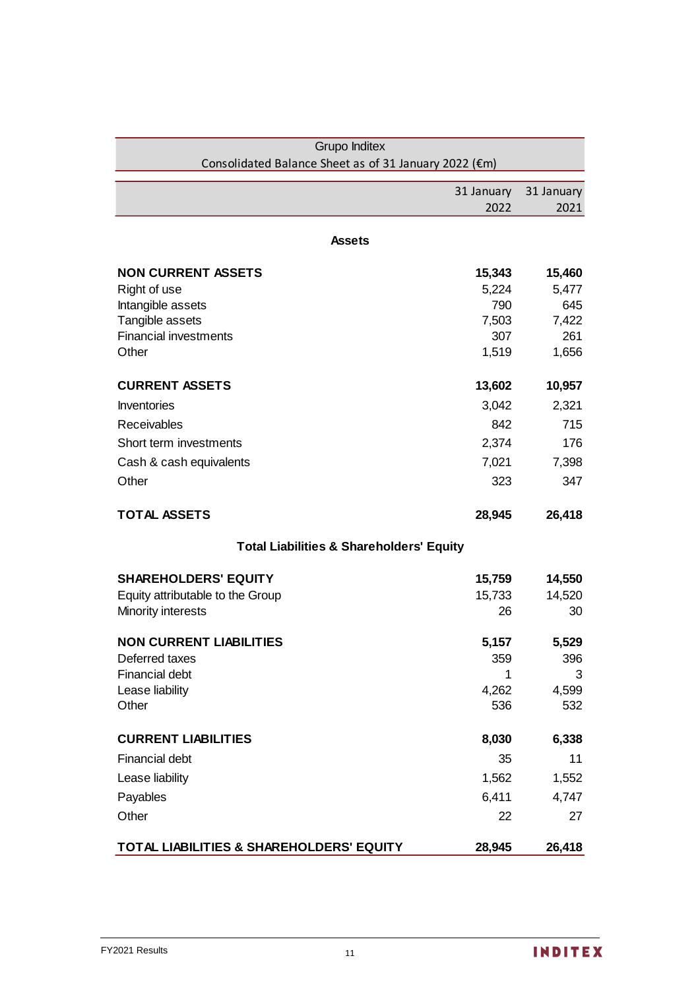| Grupo Inditex                                         |            |            |
|-------------------------------------------------------|------------|------------|
| Consolidated Balance Sheet as of 31 January 2022 (€m) |            |            |
|                                                       | 31 January | 31 January |
|                                                       | 2022       | 2021       |
|                                                       |            |            |
| <b>Assets</b>                                         |            |            |
| <b>NON CURRENT ASSETS</b>                             | 15,343     | 15,460     |
| Right of use                                          | 5,224      | 5,477      |
| Intangible assets                                     | 790        | 645        |
| Tangible assets                                       | 7,503      | 7,422      |
| <b>Financial investments</b>                          | 307        | 261        |
| Other                                                 | 1,519      | 1,656      |
| <b>CURRENT ASSETS</b>                                 | 13,602     | 10,957     |
| Inventories                                           | 3,042      | 2,321      |
| <b>Receivables</b>                                    | 842        | 715        |
| Short term investments                                | 2,374      | 176        |
| Cash & cash equivalents                               | 7,021      | 7,398      |
| Other                                                 | 323        | 347        |
|                                                       |            |            |
| <b>TOTAL ASSETS</b>                                   | 28,945     | 26,418     |
| <b>Total Liabilities &amp; Shareholders' Equity</b>   |            |            |
| <b>SHAREHOLDERS' EQUITY</b>                           | 15,759     | 14,550     |
| Equity attributable to the Group                      | 15,733     | 14,520     |
| Minority interests                                    | 26         | 30         |
| <b>NON CURRENT LIABILITIES</b>                        | 5,157      | 5,529      |
| Deferred taxes                                        | 359        | 396        |
| <b>Financial debt</b>                                 | 1          | 3          |
| Lease liability                                       | 4,262      | 4,599      |
| Other                                                 | 536        | 532        |
| <b>CURRENT LIABILITIES</b>                            | 8,030      | 6,338      |
| <b>Financial debt</b>                                 | 35         | 11         |
| Lease liability                                       | 1,562      | 1,552      |
| Payables                                              | 6,411      | 4,747      |
| Other                                                 | 22         | 27         |
| TOTAL LIABILITIES & SHAREHOLDERS' EQUITY              | 28,945     | 26,418     |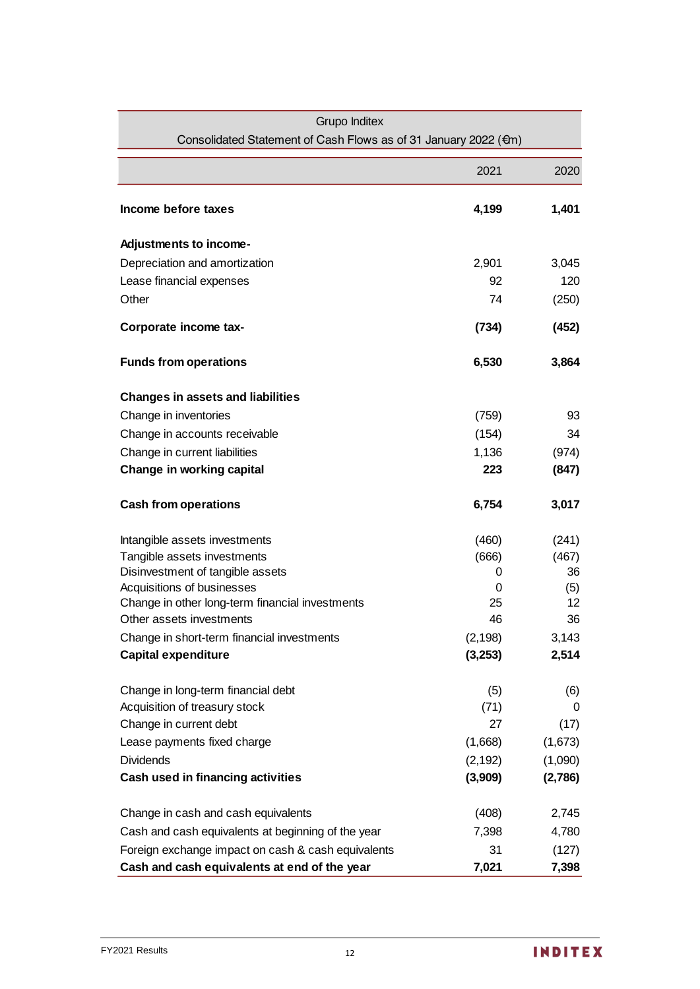| <b>Grupo Inditex</b>                                                        |                     |                |
|-----------------------------------------------------------------------------|---------------------|----------------|
| Consolidated Statement of Cash Flows as of 31 January 2022 (€m)             |                     |                |
|                                                                             | 2021                | 2020           |
| Income before taxes                                                         | 4,199               | 1,401          |
| Adjustments to income-                                                      |                     |                |
| Depreciation and amortization                                               | 2,901               | 3,045          |
| Lease financial expenses                                                    | 92                  | 120            |
| Other                                                                       | 74                  | (250)          |
| Corporate income tax-                                                       | (734)               | (452)          |
| <b>Funds from operations</b>                                                | 6,530               | 3,864          |
| <b>Changes in assets and liabilities</b>                                    |                     |                |
| Change in inventories                                                       | (759)               | 93             |
| Change in accounts receivable                                               | (154)               | 34             |
| Change in current liabilities                                               | 1,136               | (974)          |
| Change in working capital                                                   | 223                 | (847)          |
| <b>Cash from operations</b>                                                 | 6,754               | 3,017          |
| Intangible assets investments                                               | (460)               | (241)          |
| Tangible assets investments                                                 | (666)               | (467)          |
| Disinvestment of tangible assets                                            | 0                   | 36             |
| Acquisitions of businesses                                                  | 0                   | (5)            |
| Change in other long-term financial investments<br>Other assets investments | 25                  | 12             |
|                                                                             | 46                  | 36             |
| Change in short-term financial investments<br><b>Capital expenditure</b>    | (2, 198)<br>(3,253) | 3,143<br>2,514 |
|                                                                             |                     |                |
| Change in long-term financial debt                                          | (5)                 | (6)            |
| Acquisition of treasury stock                                               | (71)                | 0              |
| Change in current debt                                                      | 27                  | (17)           |
| Lease payments fixed charge                                                 | (1,668)             | (1,673)        |
| <b>Dividends</b>                                                            | (2, 192)            | (1,090)        |
| Cash used in financing activities                                           | (3,909)             | (2,786)        |
| Change in cash and cash equivalents                                         | (408)               | 2,745          |
| Cash and cash equivalents at beginning of the year                          | 7,398               | 4,780          |
| Foreign exchange impact on cash & cash equivalents                          | 31                  | (127)          |
| Cash and cash equivalents at end of the year                                | 7,021               | 7,398          |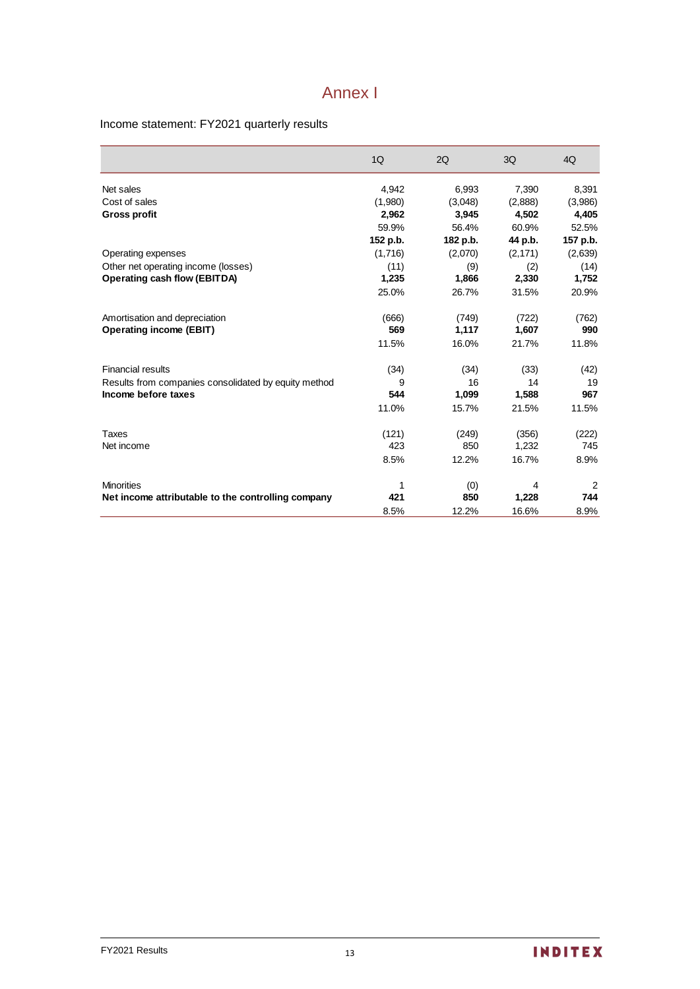# Annex I

### Income statement: FY2021 quarterly results

|                                                      | 1Q       | 2Q       | 3Q       | 4Q       |
|------------------------------------------------------|----------|----------|----------|----------|
| Net sales                                            | 4,942    | 6,993    | 7,390    | 8,391    |
| Cost of sales                                        | (1,980)  | (3,048)  | (2,888)  | (3,986)  |
| <b>Gross profit</b>                                  | 2,962    | 3,945    | 4,502    | 4,405    |
|                                                      | 59.9%    | 56.4%    | 60.9%    | 52.5%    |
|                                                      | 152 p.b. | 182 p.b. | 44 p.b.  | 157 p.b. |
| Operating expenses                                   | (1,716)  | (2,070)  | (2, 171) | (2,639)  |
| Other net operating income (losses)                  | (11)     | (9)      | (2)      | (14)     |
| <b>Operating cash flow (EBITDA)</b>                  | 1,235    | 1,866    | 2,330    | 1,752    |
|                                                      | 25.0%    | 26.7%    | 31.5%    | 20.9%    |
| Amortisation and depreciation                        | (666)    | (749)    | (722)    | (762)    |
| <b>Operating income (EBIT)</b>                       | 569      | 1,117    | 1,607    | 990      |
|                                                      | 11.5%    | 16.0%    | 21.7%    | 11.8%    |
| <b>Financial results</b>                             | (34)     | (34)     | (33)     | (42)     |
| Results from companies consolidated by equity method | 9        | 16       | 14       | 19       |
| Income before taxes                                  | 544      | 1,099    | 1,588    | 967      |
|                                                      | 11.0%    | 15.7%    | 21.5%    | 11.5%    |
| Taxes                                                | (121)    | (249)    | (356)    | (222)    |
| Net income                                           | 423      | 850      | 1,232    | 745      |
|                                                      | 8.5%     | 12.2%    | 16.7%    | 8.9%     |
| <b>Minorities</b>                                    | 1        | (0)      | 4        | 2        |
| Net income attributable to the controlling company   | 421      | 850      | 1,228    | 744      |
|                                                      | 8.5%     | 12.2%    | 16.6%    | 8.9%     |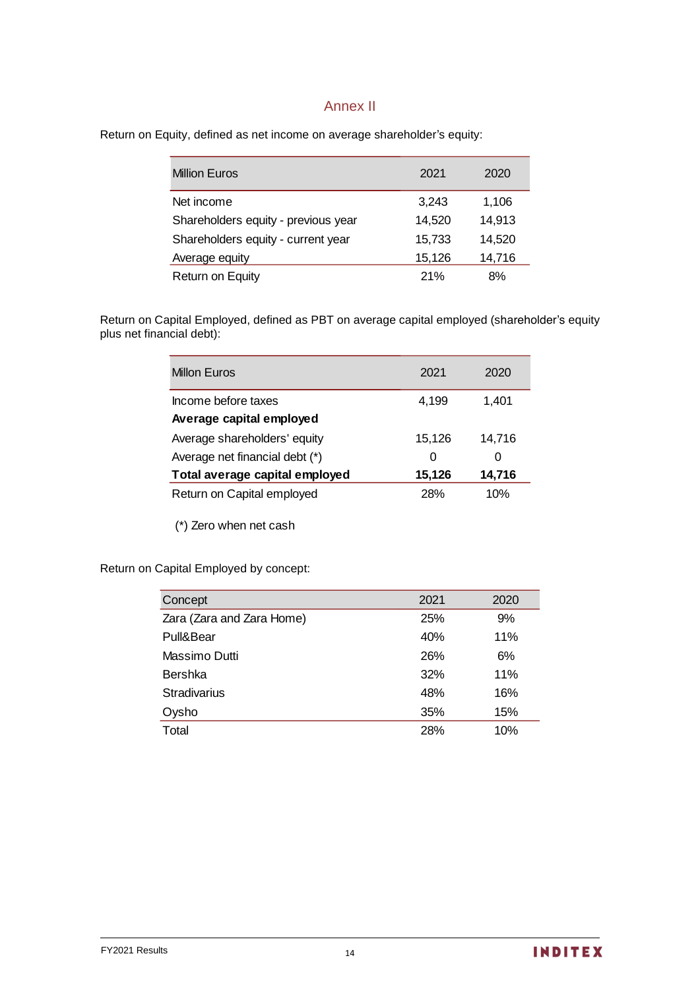### Annex II

Return on Equity, defined as net income on average shareholder's equity:

| <b>Million Euros</b>                | 2021   | 2020   |
|-------------------------------------|--------|--------|
| Net income                          | 3,243  | 1,106  |
| Shareholders equity - previous year | 14,520 | 14,913 |
| Shareholders equity - current year  | 15,733 | 14,520 |
| Average equity                      | 15,126 | 14,716 |
| <b>Return on Equity</b>             | 21%    | 8%     |

Return on Capital Employed, defined as PBT on average capital employed (shareholder's equity plus net financial debt):

| <b>Millon Euros</b>            | 2021   | 2020   |
|--------------------------------|--------|--------|
| Income before taxes            | 4,199  | 1,401  |
| Average capital employed       |        |        |
| Average shareholders' equity   | 15,126 | 14,716 |
| Average net financial debt (*) | 0      | O      |
| Total average capital employed | 15,126 | 14,716 |
| Return on Capital employed     | 28%    | 10%    |

(\*) Zero when net cash

Return on Capital Employed by concept:

| Concept                   | 2021 | 2020 |
|---------------------------|------|------|
| Zara (Zara and Zara Home) | 25%  | 9%   |
| Pull&Bear                 | 40%  | 11%  |
| Massimo Dutti             | 26%  | 6%   |
| Bershka                   | 32%  | 11%  |
| <b>Stradivarius</b>       | 48%  | 16%  |
| Oysho                     | 35%  | 15%  |
| Total                     | 28%  | 10%  |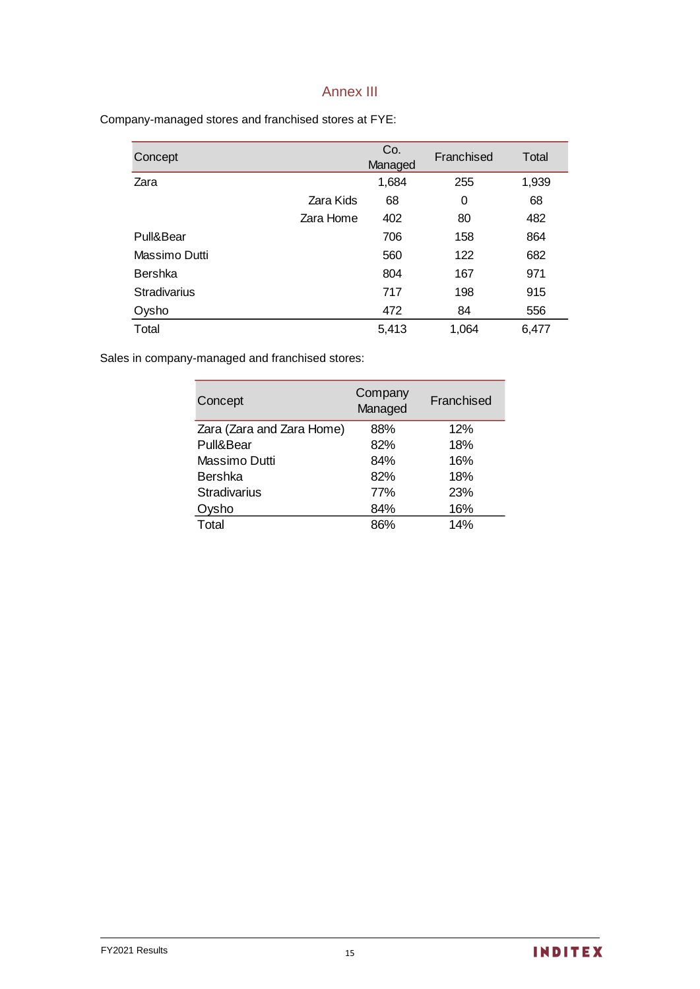## Annex III

Company-managed stores and franchised stores at FYE:

| Concept             |           | Co.<br>Managed | Franchised | Total |
|---------------------|-----------|----------------|------------|-------|
| Zara                |           | 1,684          | 255        | 1,939 |
|                     | Zara Kids | 68             | 0          | 68    |
|                     | Zara Home | 402            | 80         | 482   |
| Pull&Bear           |           | 706            | 158        | 864   |
| Massimo Dutti       |           | 560            | 122        | 682   |
| <b>Bershka</b>      |           | 804            | 167        | 971   |
| <b>Stradivarius</b> |           | 717            | 198        | 915   |
| Oysho               |           | 472            | 84         | 556   |
| Total               |           | 5,413          | 1,064      | 6,477 |

Sales in company-managed and franchised stores:

| Concept                   | Company<br>Managed | Franchised |
|---------------------------|--------------------|------------|
| Zara (Zara and Zara Home) | 88%                | 12%        |
| Pull&Bear                 | 82%                | 18%        |
| Massimo Dutti             | 84%                | 16%        |
| Bershka                   | 82%                | 18%        |
| <b>Stradivarius</b>       | 77%                | 23%        |
| ysho                      | 84%                | 16%        |
| Total                     | 86%                | 14%        |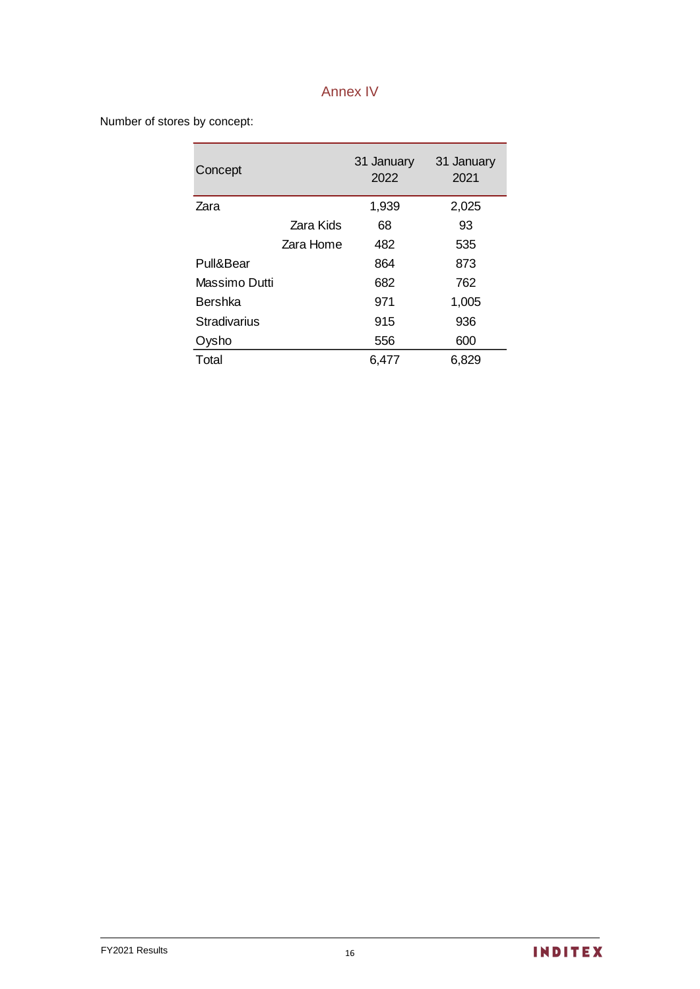# Annex IV

Number of stores by concept:

| Concept             |           | 31 January<br>2022 | 31 January<br>2021 |
|---------------------|-----------|--------------------|--------------------|
| Zara                |           | 1,939              | 2,025              |
|                     | Zara Kids | 68                 | 93                 |
|                     | Zara Home | 482                | 535                |
| Pull&Bear           |           | 864                | 873                |
| Massimo Dutti       |           | 682                | 762                |
| <b>Bershka</b>      |           | 971                | 1,005              |
| <b>Stradivarius</b> |           | 915                | 936                |
| Oysho               |           | 556                | 600                |
| Total               |           | 6,477              | 6,829              |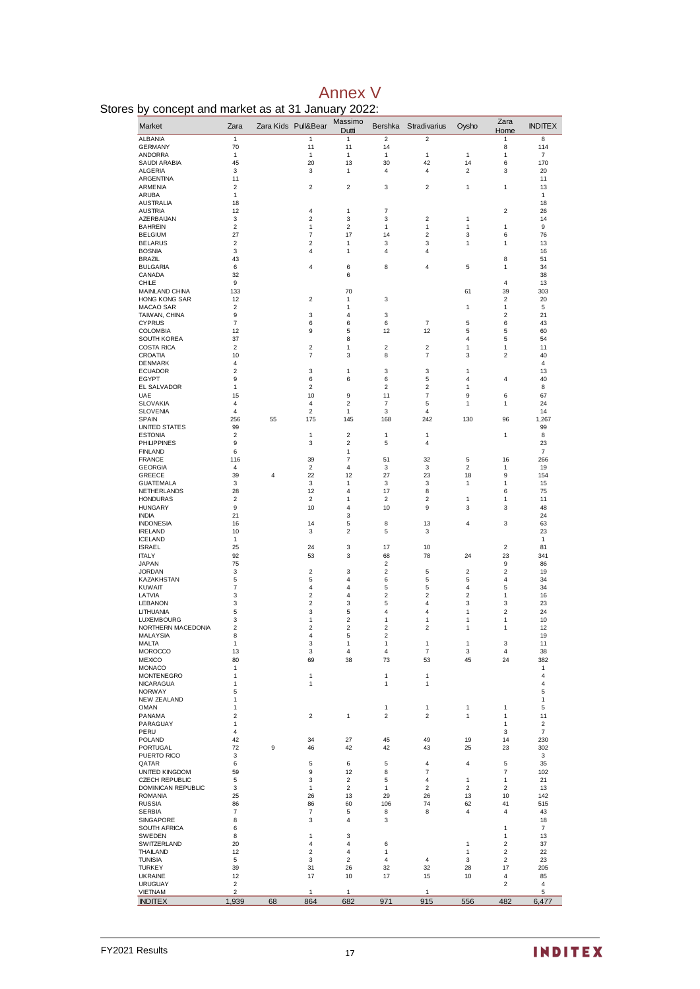|  |  | <b>Annex V</b> |
|--|--|----------------|
|  |  |                |

| Stores by concept and market as at 31 January 2022: |  |  |  |  |  |  |  |
|-----------------------------------------------------|--|--|--|--|--|--|--|
|-----------------------------------------------------|--|--|--|--|--|--|--|

| ~,<br>Market                            | Zara                    |                | Zara Kids Pull&Bear              | Massimo<br>Dutti                          | Bershka                          | Stradivarius                 | Oysho                   | Zara<br>Home                     | <b>INDITEX</b>        |
|-----------------------------------------|-------------------------|----------------|----------------------------------|-------------------------------------------|----------------------------------|------------------------------|-------------------------|----------------------------------|-----------------------|
| <b>ALBANIA</b>                          | 1                       |                | 1                                | $\mathbf{1}$                              | $\overline{c}$                   | $\overline{c}$               |                         | 1                                | 8                     |
| <b>GERMANY</b><br><b>ANDORRA</b>        | 70<br>1                 |                | 11<br>1                          | 11<br>1                                   | 14<br>1                          | 1                            | $\mathbf{1}$            | 8<br>$\mathbf{1}$                | 114<br>$\overline{7}$ |
| SAUDI ARABIA                            | 45                      |                | 20                               | 13                                        | 30                               | 42                           | 14                      | 6                                | 170                   |
| ALGERIA<br><b>ARGENTINA</b>             | 3                       |                | 3                                | 1                                         | 4                                | $\overline{4}$               | $\overline{\mathbf{c}}$ | 3                                | 20                    |
| ARMENIA                                 | 11<br>2                 |                | 2                                | $\overline{\mathbf{c}}$                   | 3                                | $\overline{\mathbf{c}}$      | 1                       | 1                                | 11<br>13              |
| ARUBA                                   | 1                       |                |                                  |                                           |                                  |                              |                         |                                  | $\mathbf{1}$          |
| <b>AUSTRALIA</b><br><b>AUSTRIA</b>      | 18<br>12                |                | 4                                | 1                                         | 7                                |                              |                         | $\overline{c}$                   | 18<br>26              |
| AZERBAIJAN                              | 3                       |                | $\boldsymbol{2}$                 | 3                                         | 3                                | $\overline{\mathbf{c}}$      | 1                       |                                  | 14                    |
| <b>BAHREIN</b>                          | 2                       |                | $\mathbf{1}$                     | $\overline{2}$                            | 1                                | $\mathbf{1}$                 | $\mathbf{1}$            | $\mathbf{1}$                     | 9                     |
| <b>BELGIUM</b><br><b>BELARUS</b>        | 27<br>2                 |                | $\overline{7}$<br>2              | 17<br>1                                   | 14<br>3                          | $\overline{\mathbf{c}}$<br>3 | 3<br>1                  | 6<br>1                           | 76<br>13              |
| <b>BOSNIA</b>                           | 3                       |                | 4                                | 1                                         | 4                                | 4                            |                         |                                  | 16                    |
| BRAZIL                                  | 43                      |                |                                  |                                           |                                  |                              |                         | 8                                | 51                    |
| <b>BULGARIA</b><br>CANADA               | 6<br>32                 |                | 4                                | 6<br>6                                    | 8                                | 4                            | 5                       | 1                                | 34<br>38              |
| <b>CHILE</b>                            | 9                       |                |                                  |                                           |                                  |                              |                         | 4                                | 13                    |
| MAINLAND CHINA                          | 133                     |                |                                  | 70                                        |                                  |                              | 61                      | 39                               | 303                   |
| HONG KONG SAR<br>MACAO SAR              | 12<br>2                 |                | 2                                | 1<br>1                                    | 3                                |                              | 1                       | $\overline{\mathbf{c}}$<br>1     | 20<br>5               |
| TAIWAN, CHINA                           | 9                       |                | 3                                | 4                                         | 3                                |                              |                         | $\overline{\mathbf{c}}$          | 21                    |
| <b>CYPRUS</b>                           | $\overline{7}$          |                | 6                                | 6                                         | 6                                | $\overline{7}$               | 5                       | 6                                | 43                    |
| COLOMBIA<br><b>SOUTH KOREA</b>          | 12<br>37                |                | 9                                | 5<br>8                                    | 12                               | 12                           | 5<br>4                  | 5<br>5                           | 60<br>54              |
| COSTA RICA                              | $\overline{\mathbf{c}}$ |                | 2                                | 1                                         | 2                                | $\overline{\mathbf{c}}$      | 1                       | 1                                | 11                    |
| CROATIA                                 | 10                      |                | 7                                | 3                                         | 8                                | $\overline{7}$               | 3                       | $\overline{\mathbf{c}}$          | 40                    |
| <b>DENMARK</b><br><b>ECUADOR</b>        | 4<br>2                  |                | 3                                | 1                                         | 3                                | 3                            | 1                       |                                  | 4<br>13               |
| EGYPT                                   | 9                       |                | 6                                | 6                                         | 6                                | 5                            | 4                       | 4                                | 40                    |
| <b>EL SALVADOR</b>                      | 1                       |                | $\overline{2}$                   |                                           | $\overline{c}$                   | $\overline{\mathbf{c}}$      | $\mathbf{1}$            |                                  | 8                     |
| UAE<br><b>SLOVAKIA</b>                  | 15<br>4                 |                | 10<br>$\overline{4}$             | 9<br>$\overline{2}$                       | 11<br>$\overline{7}$             | $\overline{7}$<br>5          | 9<br>$\mathbf{1}$       | 6<br>$\mathbf{1}$                | 67<br>24              |
| <b>SLOVENIA</b>                         | 4                       |                | 2                                | 1                                         | 3                                | 4                            |                         |                                  | 14                    |
| SPAIN                                   | 256                     | 55             | 175                              | 145                                       | 168                              | 242                          | 130                     | 96                               | 1,267                 |
| UNITED STATES                           | 99                      |                |                                  |                                           |                                  |                              |                         |                                  | 99                    |
| <b>ESTONIA</b><br><b>PHILIPPINES</b>    | 2<br>9                  |                | 1<br>3                           | $\overline{\mathbf{c}}$<br>$\overline{2}$ | 1<br>5                           | 1<br>4                       |                         | 1                                | 8<br>23               |
| <b>FINLAND</b>                          | 6                       |                |                                  | 1                                         |                                  |                              |                         |                                  | 7                     |
| <b>FRANCE</b>                           | 116                     |                | 39                               | $\overline{7}$                            | 51                               | 32                           | 5                       | 16                               | 266                   |
| <b>GEORGIA</b><br><b>GREECE</b>         | 4<br>39                 | $\overline{4}$ | 2<br>22                          | 4<br>12                                   | 3<br>27                          | 3<br>23                      | 2<br>18                 | 1<br>9                           | 19<br>154             |
| GUATEMALA                               | 3                       |                | 3                                | 1                                         | 3                                | 3                            | 1                       | 1                                | 15                    |
| NETHERLANDS                             | 28                      |                | 12                               | 4                                         | 17                               | 8                            |                         | 6                                | 75                    |
| <b>HONDURAS</b><br><b>HUNGARY</b>       | 2<br>9                  |                | 2<br>10                          | 1<br>4                                    | 2<br>10                          | $\overline{\mathbf{c}}$<br>9 | 1<br>3                  | 1<br>3                           | 11<br>48              |
| <b>INDIA</b>                            | 21                      |                |                                  | 3                                         |                                  |                              |                         |                                  | 24                    |
| <b>INDONESIA</b>                        | 16                      |                | 14                               | 5                                         | 8                                | 13                           | 4                       | 3                                | 63                    |
| <b>IRELAND</b><br><b>ICELAND</b>        | 10<br>1                 |                | 3                                | $\overline{2}$                            | 5                                | 3                            |                         |                                  | 23<br>1               |
| <b>ISRAEL</b>                           | 25                      |                | 24                               | 3                                         | 17                               | 10                           |                         | $\overline{2}$                   | 81                    |
| <b>ITALY</b>                            | 92                      |                | 53                               | 3                                         | 68                               | 78                           | 24                      | 23                               | 341                   |
| <b>JAPAN</b><br><b>JORDAN</b>           | 75<br>3                 |                | 2                                | 3                                         | 2<br>2                           | 5                            | 2                       | 9<br>$\overline{\mathbf{c}}$     | 86<br>19              |
| KAZAKHSTAN                              | 5                       |                | 5                                | 4                                         | 6                                | 5                            | 5                       | $\overline{4}$                   | 34                    |
| <b>KUWAIT</b>                           | 7                       |                | 4                                | 4                                         | 5                                | 5                            | 4                       | 5                                | 34                    |
| LATVIA<br>LEBANON                       | 3<br>3                  |                | $\overline{c}$<br>2              | 4<br>3                                    | 2<br>5                           | $\overline{\mathbf{c}}$<br>4 | 2<br>3                  | 1<br>3                           | 16<br>23              |
| LITHUANIA                               | 5                       |                | 3                                | 5                                         | 4                                | 4                            | 1                       | $\mathbf 2$                      | 24                    |
| <b>LUXEMBOURG</b>                       | 3                       |                | 1                                | $\overline{2}$                            | 1                                | 1                            | 1                       | 1                                | 10                    |
| NORTHERN MACEDONIA<br><b>MALAYSIA</b>   | 2<br>8                  |                | $\overline{c}$<br>$\overline{4}$ | $\overline{\mathbf{c}}$<br>5              | $\overline{2}$<br>$\overline{2}$ | $\overline{\mathbf{c}}$      | 1                       | 1                                | 12<br>19              |
| MALTA                                   | 1                       |                | 3                                | 1                                         | 1                                | 1                            | 1                       | 3                                | 11                    |
| <b>MOROCCO</b>                          | 13                      |                | 3                                | 4                                         | $\overline{4}$                   | $\overline{7}$               | 3                       | $\overline{4}$                   | 38                    |
| <b>MEXICO</b><br><b>MONACO</b>          | 80<br>1                 |                | 69                               | 38                                        | 73                               | 53                           | 45                      | 24                               | 382<br>1              |
| <b>MONTENEGRO</b>                       | 1                       |                | 1                                |                                           | 1                                | 1                            |                         |                                  | 4                     |
| <b>NICARAGUA</b>                        | 1                       |                | 1                                |                                           | 1                                | $\mathbf{1}$                 |                         |                                  | 4                     |
| <b>NORWAY</b><br>NEW ZEALAND            | 5<br>1                  |                |                                  |                                           |                                  |                              |                         |                                  | 5<br>1                |
| <b>OMAN</b>                             | $\mathbf{1}$            |                |                                  |                                           | 1                                | 1                            | $\mathbf{1}$            | $\mathbf{1}$                     | 5                     |
| PANAMA<br>PARAGUAY                      | 2<br>1                  |                | 2                                | 1                                         | 2                                | $\overline{c}$               | 1                       | 1<br>$\mathbf{1}$                | 11<br>$\overline{2}$  |
| PERU                                    | 4                       |                |                                  |                                           |                                  |                              |                         | 3                                | $\overline{7}$        |
| POLAND                                  | 42                      |                | 34                               | 27                                        | 45                               | 49                           | 19                      | 14                               | 230                   |
| PORTUGAL                                | 72                      | 9              | 46                               | 42                                        | 42                               | 43                           | 25                      | 23                               | 302                   |
| PUERTO RICO<br>QATAR                    | 3<br>6                  |                | 5                                | 6                                         | 5                                | 4                            | 4                       | 5                                | 3<br>35               |
| UNITED KINGDOM                          | 59                      |                | 9                                | 12                                        | 8                                | 7                            |                         | $\overline{7}$                   | 102                   |
| <b>CZECH REPUBLIC</b>                   | 5                       |                | 3                                | $\overline{2}$                            | 5                                | 4                            | $\mathbf{1}$            | 1                                | 21                    |
| DOMINICAN REPUBLIC<br><b>ROMANIA</b>    | 3<br>25                 |                | $\mathbf{1}$<br>26               | $\overline{c}$<br>13                      | 1<br>29                          | $\boldsymbol{2}$<br>26       | $\overline{2}$<br>13    | $\boldsymbol{2}$<br>10           | 13<br>142             |
| <b>RUSSIA</b>                           | 86                      |                | 86                               | 60                                        | 106                              | 74                           | 62                      | 41                               | 515                   |
| <b>SERBIA</b>                           | 7                       |                | $\overline{7}$                   | 5                                         | 8                                | 8                            | 4                       | $\overline{4}$                   | 43                    |
| <b>SINGAPORE</b><br><b>SOUTH AFRICA</b> | 8<br>6                  |                | 3                                | 4                                         | 3                                |                              |                         | $\mathbf{1}$                     | 18<br>$\overline{7}$  |
| SWEDEN                                  | 8                       |                | 1                                | 3                                         |                                  |                              |                         | 1                                | 13                    |
| SWITZERLAND                             | 20                      |                | 4                                | 4                                         | 6                                |                              | 1                       | $\boldsymbol{2}$                 | 37                    |
| THAILAND<br><b>TUNISIA</b>              | 12<br>5                 |                | 2<br>3                           | 4<br>$\sqrt{2}$                           | 1<br>4                           | 4                            | 1<br>3                  | $\overline{2}$<br>$\overline{2}$ | 22<br>23              |
| <b>TURKEY</b>                           | 39                      |                | 31                               | 26                                        | 32                               | 32                           | 28                      | 17                               | 205                   |
| UKRAINE                                 | 12                      |                | 17                               | 10                                        | 17                               | 15                           | 10                      | 4                                | 85                    |
| <b>URUGUAY</b><br>VIETNAM               | $\overline{c}$<br>2     |                | 1                                | 1                                         |                                  | 1                            |                         | $\overline{\mathbf{c}}$          | $\overline{4}$<br>5   |
| <b>INDITEX</b>                          | 1,939                   | 68             | 864                              | 682                                       | 971                              | 915                          | 556                     | 482                              | 6,477                 |